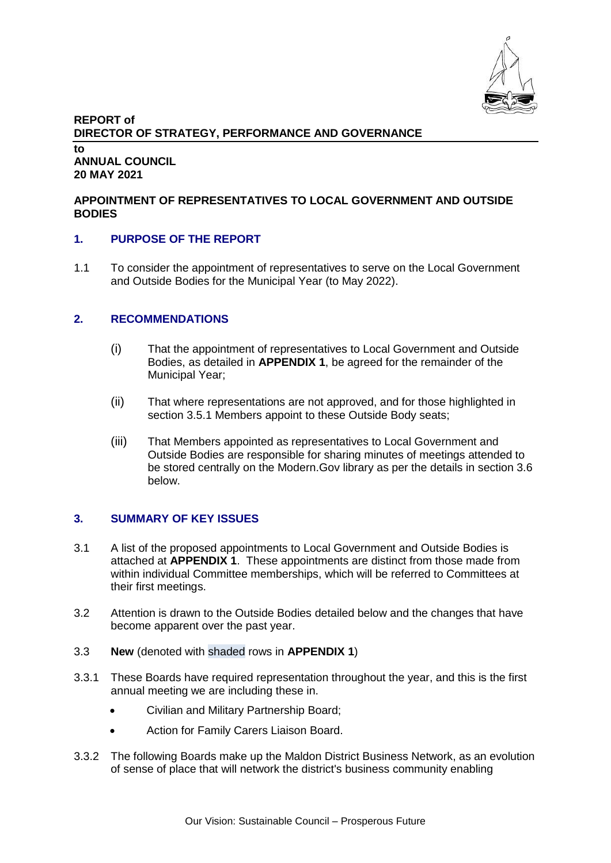

#### **REPORT of DIRECTOR OF STRATEGY, PERFORMANCE AND GOVERNANCE to ANNUAL COUNCIL 20 MAY 2021**

## **APPOINTMENT OF REPRESENTATIVES TO LOCAL GOVERNMENT AND OUTSIDE BODIES**

## **1. PURPOSE OF THE REPORT**

1.1 To consider the appointment of representatives to serve on the Local Government and Outside Bodies for the Municipal Year (to May 2022).

## **2. RECOMMENDATIONS**

- (i) That the appointment of representatives to Local Government and Outside Bodies, as detailed in **APPENDIX 1**, be agreed for the remainder of the Municipal Year;
- (ii) That where representations are not approved, and for those highlighted in section 3.5.1 Members appoint to these Outside Body seats;
- (iii) That Members appointed as representatives to Local Government and Outside Bodies are responsible for sharing minutes of meetings attended to be stored centrally on the Modern.Gov library as per the details in section 3.6 below.

# **3. SUMMARY OF KEY ISSUES**

- 3.1 A list of the proposed appointments to Local Government and Outside Bodies is attached at **APPENDIX 1**. These appointments are distinct from those made from within individual Committee memberships, which will be referred to Committees at their first meetings.
- 3.2 Attention is drawn to the Outside Bodies detailed below and the changes that have become apparent over the past year.
- 3.3 **New** (denoted with shaded rows in **APPENDIX 1**)
- 3.3.1 These Boards have required representation throughout the year, and this is the first annual meeting we are including these in.
	- Civilian and Military Partnership Board;
	- Action for Family Carers Liaison Board.
- 3.3.2 The following Boards make up the Maldon District Business Network, as an evolution of sense of place that will network the district's business community enabling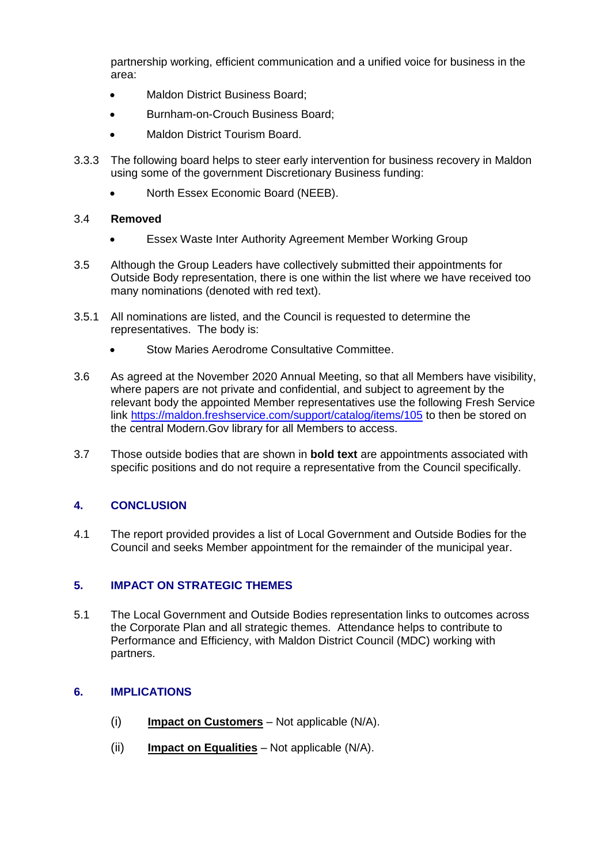partnership working, efficient communication and a unified voice for business in the area:

- Maldon District Business Board;
- Burnham-on-Crouch Business Board;
- Maldon District Tourism Board.
- 3.3.3 The following board helps to steer early intervention for business recovery in Maldon using some of the government Discretionary Business funding:
	- North Essex Economic Board (NEEB).

## 3.4 **Removed**

- Essex Waste Inter Authority Agreement Member Working Group
- 3.5 Although the Group Leaders have collectively submitted their appointments for Outside Body representation, there is one within the list where we have received too many nominations (denoted with red text).
- 3.5.1 All nominations are listed, and the Council is requested to determine the representatives. The body is:
	- Stow Maries Aerodrome Consultative Committee.
- 3.6 As agreed at the November 2020 Annual Meeting, so that all Members have visibility, where papers are not private and confidential, and subject to agreement by the relevant body the appointed Member representatives use the following Fresh Service link <https://maldon.freshservice.com/support/catalog/items/105> to then be stored on the central Modern.Gov library for all Members to access.
- 3.7 Those outside bodies that are shown in **bold text** are appointments associated with specific positions and do not require a representative from the Council specifically.

# **4. CONCLUSION**

4.1 The report provided provides a list of Local Government and Outside Bodies for the Council and seeks Member appointment for the remainder of the municipal year.

## **5. IMPACT ON STRATEGIC THEMES**

5.1 The Local Government and Outside Bodies representation links to outcomes across the Corporate Plan and all strategic themes. Attendance helps to contribute to Performance and Efficiency, with Maldon District Council (MDC) working with partners.

# **6. IMPLICATIONS**

- (i) **Impact on Customers** Not applicable (N/A).
- (ii) **Impact on Equalities** Not applicable (N/A).